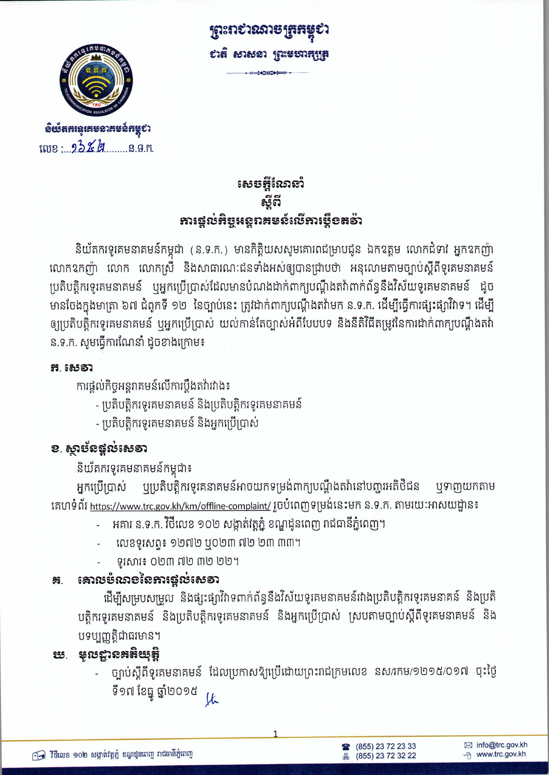

**ฉิ**ยังสสเฉเสซอาสซอ์สหูชา we: 23% g S.G.n. <u>ព្រះពសរសេរ្យ</u> សត សាសនា ព្រះមហាកុត្រូ

សេចអ្វីណែនាំ ຣ໌ດີ **អារ**ផ្តល់អិច្ចអន្តពគមន៍លើអារម្មីខតទ័ា

និយ័តករទូរគមនាគមន៍កម្ពុជា (ន.ទ.ក.) មានកិត្តិយសសូមគោរពជម្រាបជូន ឯកឧត្តម លោកជំទាវ អ្នកឧកញ៉ា លោកឧកញ៉ា លោក លោកស្រី និងសាធារណៈជនទាំងអស់ឲ្យបានជ្រាបថា អនុលោមតាមច្បាប់ស្តីពីទូរគមនាគមន៍ ប្រតិបត្តិករទូរគមនាគមន៍ ឬអ្នកប្រើប្រាស់ដែលមានបំណងដាក់ពាក្យបណ្តឹងតវ៉ាពាក់ព័ន្ធនឹងវិស័យទូរគមនាគមន៍ ដូច មានចែងក្នុងមាត្រា ៦៧ ជំពូកទី ១២ នៃច្បាប់នេះ ត្រូវដាក់ពាក្យបណ្តឹងតវ៉ាមក ន.ទ.ក. ដើម្បីធ្វើការផ្សះផ្សាវិវាទ។ ដើម្បី ឲ្យប្រតិបត្តិករទូរគមនាគមន៍ ឬអ្នកប្រើប្រាស់ យល់កាន់តែច្បាស់អំពីបែបបទ និងនីតិវិធីតម្រូវនៃការដាក់ពាក្យបណ្ដឹងតវ៉ា ន.ទ.ក. សូមធ្វើការណែនាំ ដូចខាងក្រោម៖

### អ. សេស

ការផ្តល់កិច្ចអន្តរាគមន៍លើការប្តឹងតវ៉ាវវាង៖

- ប្រតិបត្តិករទូរគមនាគមន៍ និងប្រតិបត្តិករទូរគមនាគមន៍
- ប្រតិបត្តិករទូរគមនាគមន៍ និងអ្នកប្រើប្រាស់

## ខ. ស្ថាម័នផ្តល់សេទា

និយ័តករទូរគមនាគមន៍កម្ពុជា៖

្មប្រេតិបត្តិករទូរគនាគមន៍អាចយកទម្រង់ពាក្យបណ្តឹងតវ៉ានៅបញ្ហរអតិថិជន ឬទាញយកតាម អ្នកប្រើប្រាស់ គេហទំព័រ <u>https://www.trc.gov.kh/km/offline-complaint/</u> រួចបំពេញទម្រង់នេះមក ន.ទ.ក. តាមរយ:អាសយដ្ឋាន៖

- អគារ ន.ទ.ក. វិថីលេខ ១០២ សង្កាត់វត្តភ្នំ ខណ្ឌដូនពេញ រាជធានីភ្នំពេញ។
- លេខទូរសព្ទ៖ ១២៧២ ឬ០២៣ ៧២ ២៣ ៣៣។
- ទូសោះ ០២៣ ៧២ ៣២ ២២។

#### ເສາ**ເ**ນະໍາເກຍໂຄກາເອຼ່າບໍ່ເສຣາ æ.

ដើម្បីសម្របសម្រួល និងផ្សះផ្សាវិវាទពាក់ព័ន្ធនឹងវិស័យទូរគមនាគមន៍វាងប្រតិបត្តិករទូរគមនាគន៍ និងប្រតិ បត្តិករទូរគមនាគមន៍ និងប្រតិបត្តិករទូរគមនាគមន៍ និងអ្នកប្រើប្រាស់ ស្របតាមច្បាប់ស្តីពីទូរគមនាគមន៍ និង បទប្បញ្ញត្តិជាធរមាន។

### ស្រ មុលដ្ឋានគតិយុត្តិ

ច្បាប់ស្តីពីទូរគមនាគមន៍ ដែលប្រកាសឱ្យប្រើដោយព្រះរាជក្រមលេខ នស/រកម/១២១៥/០១៧ ចុះថ្ងៃ ទី១៧ ខែធ្នូ ឆ្នាំ២០១៥  $u$